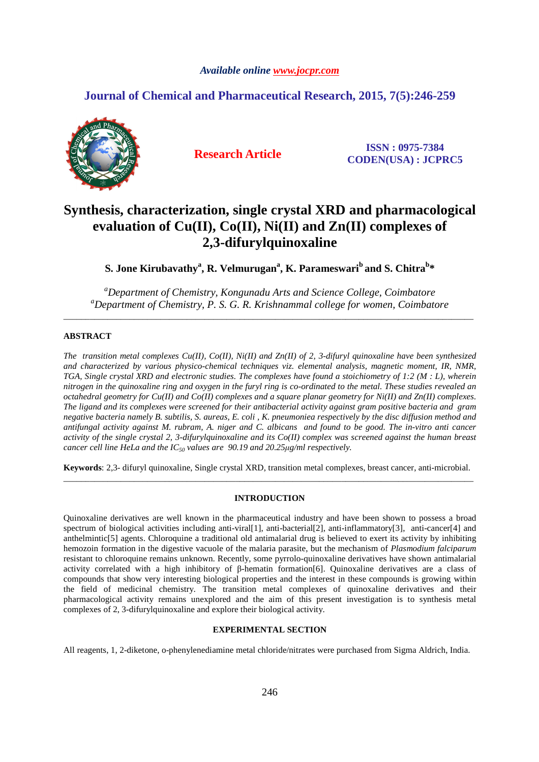# *Available online www.jocpr.com*

# **Journal of Chemical and Pharmaceutical Research, 2015, 7(5):246-259**



**Research Article ISSN : 0975-7384 CODEN(USA) : JCPRC5**

# **Synthesis, characterization, single crystal XRD and pharmacological evaluation of Cu(II), Co(II), Ni(II) and Zn(II) complexes of 2,3-difurylquinoxaline**

 $\mathbf{S}.$  Jone Kirubavathy $^{\mathbf{a}}, \mathbf{R}.$  Velmurugan $^{\mathbf{a}}, \mathbf{K}.$  Parameswari $^{\mathbf{b}}$  and  $\mathbf{S}.$  Chitra $^{\mathbf{b}}*$ 

*<sup>a</sup>Department of Chemistry, Kongunadu Arts and Science College, Coimbatore <sup>a</sup>Department of Chemistry, P. S. G. R. Krishnammal college for women, Coimbatore*  \_\_\_\_\_\_\_\_\_\_\_\_\_\_\_\_\_\_\_\_\_\_\_\_\_\_\_\_\_\_\_\_\_\_\_\_\_\_\_\_\_\_\_\_\_\_\_\_\_\_\_\_\_\_\_\_\_\_\_\_\_\_\_\_\_\_\_\_\_\_\_\_\_\_\_\_\_\_\_\_\_\_\_\_\_\_\_\_\_\_\_\_\_

# **ABSTRACT**

*The transition metal complexes Cu(II), Co(II), Ni(II) and Zn(II) of 2, 3-difuryl quinoxaline have been synthesized and characterized by various physico-chemical techniques viz. elemental analysis, magnetic moment, IR, NMR, TGA, Single crystal XRD and electronic studies. The complexes have found a stoichiometry of 1:2 (M : L), wherein nitrogen in the quinoxaline ring and oxygen in the furyl ring is co-ordinated to the metal. These studies revealed an octahedral geometry for Cu(II) and Co(II) complexes and a square planar geometry for Ni(II) and Zn(II) complexes. The ligand and its complexes were screened for their antibacterial activity against gram positive bacteria and gram negative bacteria namely B. subtilis, S. aureas, E. coli , K. pneumoniea respectively by the disc diffusion method and antifungal activity against M. rubram, A. niger and C. albicans and found to be good. The in-vitro anti cancer activity of the single crystal 2, 3-difurylquinoxaline and its Co(II) complex was screened against the human breast cancer cell line HeLa and the IC50 values are 90.19 and 20.25µg/ml respectively.* 

**Keywords**: 2,3- difuryl quinoxaline, Single crystal XRD, transition metal complexes, breast cancer, anti-microbial. \_\_\_\_\_\_\_\_\_\_\_\_\_\_\_\_\_\_\_\_\_\_\_\_\_\_\_\_\_\_\_\_\_\_\_\_\_\_\_\_\_\_\_\_\_\_\_\_\_\_\_\_\_\_\_\_\_\_\_\_\_\_\_\_\_\_\_\_\_\_\_\_\_\_\_\_\_\_\_\_\_\_\_\_\_\_\_\_\_\_\_\_\_

# **INTRODUCTION**

Quinoxaline derivatives are well known in the pharmaceutical industry and have been shown to possess a broad spectrum of biological activities including anti-viral[1], anti-bacterial[2], anti-inflammatory[3], anti-cancer[4] and anthelmintic[5] agents. Chloroquine a traditional old antimalarial drug is believed to exert its activity by inhibiting hemozoin formation in the digestive vacuole of the malaria parasite, but the mechanism of *Plasmodium falciparum* resistant to chloroquine remains unknown. Recently, some pyrrolo-quinoxaline derivatives have shown antimalarial activity correlated with a high inhibitory of β-hematin formation[6]. Quinoxaline derivatives are a class of compounds that show very interesting biological properties and the interest in these compounds is growing within the field of medicinal chemistry. The transition metal complexes of quinoxaline derivatives and their pharmacological activity remains unexplored and the aim of this present investigation is to synthesis metal complexes of 2, 3-difurylquinoxaline and explore their biological activity.

# **EXPERIMENTAL SECTION**

All reagents, 1, 2-diketone, o-phenylenediamine metal chloride/nitrates were purchased from Sigma Aldrich, India.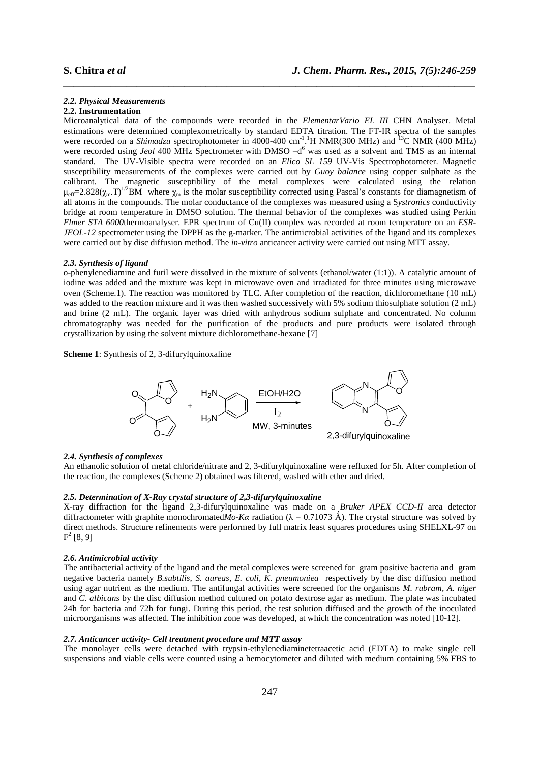#### *2.2. Physical Measurements*

# **2.2. Instrumentation**

Microanalytical data of the compounds were recorded in the *ElementarVario EL III* CHN Analyser. Metal estimations were determined complexometrically by standard EDTA titration. The FT-IR spectra of the samples were recorded on a *Shimadzu* spectrophotometer in 4000-400 cm<sup>-1</sup>.<sup>1</sup>H NMR(300 MHz) and <sup>13</sup>C NMR (400 MHz) were recorded using *Jeol* 400 MHz Spectrometer with DMSO -d<sup>6</sup> was used as a solvent and TMS as an internal standard. The UV-Visible spectra were recorded on an *Elico SL 159* UV-Vis Spectrophotometer. Magnetic susceptibility measurements of the complexes were carried out by *Guoy balance* using copper sulphate as the calibrant. The magnetic susceptibility of the metal complexes were calculated using the relation  $\mu_{\text{eff}}=2.828(\chi_m T)^{1/2}BM$  where  $\chi_m$  is the molar susceptibility corrected using Pascal's constants for diamagnetism of all atoms in the compounds. The molar conductance of the complexes was measured using a S*ystronics* conductivity bridge at room temperature in DMSO solution. The thermal behavior of the complexes was studied using Perkin *Elmer STA 6000*thermoanalyser. EPR spectrum of Cu(II) complex was recorded at room temperature on an *ESR-JEOL-12* spectrometer using the DPPH as the g-marker. The antimicrobial activities of the ligand and its complexes were carried out by disc diffusion method. The *in-vitro* anticancer activity were carried out using MTT assay.

*\_\_\_\_\_\_\_\_\_\_\_\_\_\_\_\_\_\_\_\_\_\_\_\_\_\_\_\_\_\_\_\_\_\_\_\_\_\_\_\_\_\_\_\_\_\_\_\_\_\_\_\_\_\_\_\_\_\_\_\_\_\_\_\_\_\_\_\_\_\_\_\_\_\_\_\_\_\_*

#### *2.3. Synthesis of ligand*

o-phenylenediamine and furil were dissolved in the mixture of solvents (ethanol/water (1:1)). A catalytic amount of iodine was added and the mixture was kept in microwave oven and irradiated for three minutes using microwave oven (Scheme.1). The reaction was monitored by TLC. After completion of the reaction, dichloromethane (10 mL) was added to the reaction mixture and it was then washed successively with 5% sodium thiosulphate solution (2 mL) and brine (2 mL). The organic layer was dried with anhydrous sodium sulphate and concentrated. No column chromatography was needed for the purification of the products and pure products were isolated through crystallization by using the solvent mixture dichloromethane-hexane [7]

**Scheme 1**: Synthesis of 2, 3-difurylquinoxaline



#### *2.4. Synthesis of complexes*

An ethanolic solution of metal chloride/nitrate and 2, 3-difurylquinoxaline were refluxed for 5h. After completion of the reaction, the complexes (Scheme 2) obtained was filtered, washed with ether and dried.

### *2.5. Determination of X-Ray crystal structure of 2,3-difurylquinoxaline*

X-ray diffraction for the ligand 2,3-difurylquinoxaline was made on a *Bruker APEX CCD-II* area detector diffractometer with graphite monochromated*Mo-Ka* radiation ( $\lambda = 0.71073$  Å). The crystal structure was solved by direct methods. Structure refinements were performed by full matrix least squares procedures using SHELXL-97 on  $F^2$  [8, 9]

# *2.6. Antimicrobial activity*

The antibacterial activity of the ligand and the metal complexes were screened for gram positive bacteria and gram negative bacteria namely *B.subtilis, S. aureas, E. coli*, *K. pneumoniea* respectively by the disc diffusion method using agar nutrient as the medium. The antifungal activities were screened for the organisms *M. rubram, A. niger* and *C. albicans* by the disc diffusion method cultured on potato dextrose agar as medium. The plate was incubated 24h for bacteria and 72h for fungi. During this period, the test solution diffused and the growth of the inoculated microorganisms was affected. The inhibition zone was developed, at which the concentration was noted [10-12].

### *2.7. Anticancer activity- Cell treatment procedure and MTT assay*

The monolayer cells were detached with trypsin-ethylenediaminetetraacetic acid (EDTA) to make single cell suspensions and viable cells were counted using a hemocytometer and diluted with medium containing 5% FBS to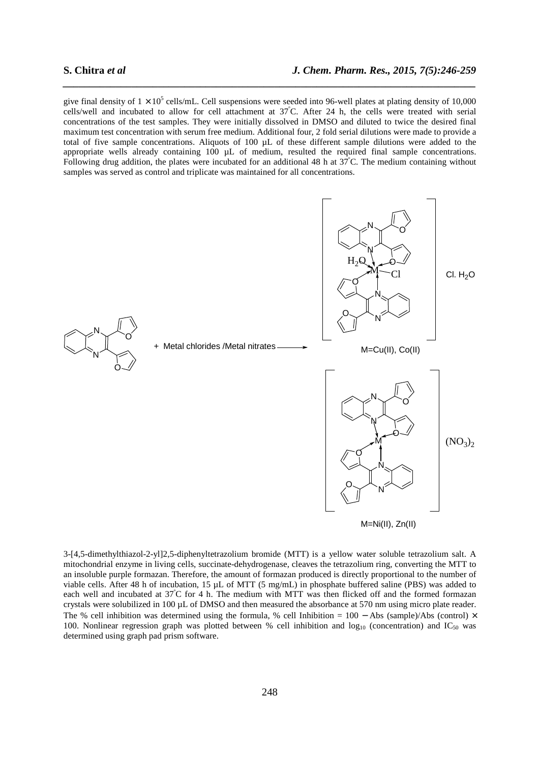give final density of  $1 \times 10^5$  cells/mL. Cell suspensions were seeded into 96-well plates at plating density of 10,000 cells/well and incubated to allow for cell attachment at 37<sup>º</sup>C. After 24 h, the cells were treated with serial concentrations of the test samples. They were initially dissolved in DMSO and diluted to twice the desired final maximum test concentration with serum free medium. Additional four, 2 fold serial dilutions were made to provide a total of five sample concentrations. Aliquots of 100  $\mu$ L of these different sample dilutions were added to the appropriate wells already containing 100 µL of medium, resulted the required final sample concentrations. Following drug addition, the plates were incubated for an additional 48 h at  $37^{\circ}$ C. The medium containing without samples was served as control and triplicate was maintained for all concentrations.

*\_\_\_\_\_\_\_\_\_\_\_\_\_\_\_\_\_\_\_\_\_\_\_\_\_\_\_\_\_\_\_\_\_\_\_\_\_\_\_\_\_\_\_\_\_\_\_\_\_\_\_\_\_\_\_\_\_\_\_\_\_\_\_\_\_\_\_\_\_\_\_\_\_\_\_\_\_\_*



3-[4,5-dimethylthiazol-2-yl]2,5-diphenyltetrazolium bromide (MTT) is a yellow water soluble tetrazolium salt. A mitochondrial enzyme in living cells, succinate-dehydrogenase, cleaves the tetrazolium ring, converting the MTT to an insoluble purple formazan. Therefore, the amount of formazan produced is directly proportional to the number of viable cells. After 48 h of incubation, 15 µL of MTT (5 mg/mL) in phosphate buffered saline (PBS) was added to each well and incubated at  $37^{\circ}$ C for 4 h. The medium with MTT was then flicked off and the formed formazan crystals were solubilized in 100 µL of DMSO and then measured the absorbance at 570 nm using micro plate reader. The % cell inhibition was determined using the formula, % cell Inhibition =  $100 -$  Abs (sample)/Abs (control) × 100. Nonlinear regression graph was plotted between % cell inhibition and  $log_{10}$  (concentration) and IC<sub>50</sub> was determined using graph pad prism software.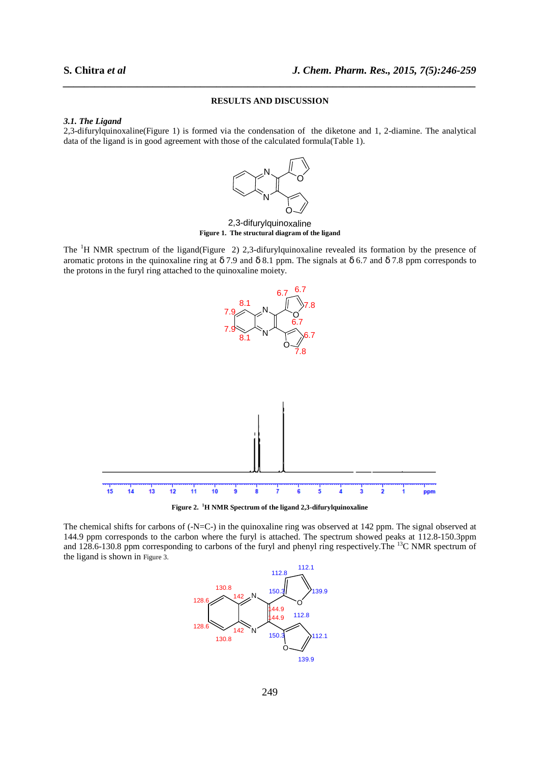# **RESULTS AND DISCUSSION**

*\_\_\_\_\_\_\_\_\_\_\_\_\_\_\_\_\_\_\_\_\_\_\_\_\_\_\_\_\_\_\_\_\_\_\_\_\_\_\_\_\_\_\_\_\_\_\_\_\_\_\_\_\_\_\_\_\_\_\_\_\_\_\_\_\_\_\_\_\_\_\_\_\_\_\_\_\_\_*

#### *3.1. The Ligand*

2,3-difurylquinoxaline(Figure 1) is formed via the condensation of the diketone and 1, 2-diamine. The analytical data of the ligand is in good agreement with those of the calculated formula(Table 1).



**Figure 1. The structural diagram of the ligand** 

The <sup>1</sup>H NMR spectrum of the ligand(Figure 2) 2,3-difurylquinoxaline revealed its formation by the presence of aromatic protons in the quinoxaline ring at  $\delta$  7.9 and  $\delta$  8.1 ppm. The signals at  $\delta$  6.7 and  $\delta$  7.8 ppm corresponds to the protons in the furyl ring attached to the quinoxaline moiety.



**Figure 2. <sup>1</sup>H NMR Spectrum of the ligand 2,3-difurylquinoxaline**

The chemical shifts for carbons of (-N=C-) in the quinoxaline ring was observed at 142 ppm. The signal observed at 144.9 ppm corresponds to the carbon where the furyl is attached. The spectrum showed peaks at 112.8-150.3ppm and 128.6-130.8 ppm corresponding to carbons of the furyl and phenyl ring respectively. The <sup>13</sup>C NMR spectrum of the ligand is shown in Figure 3.

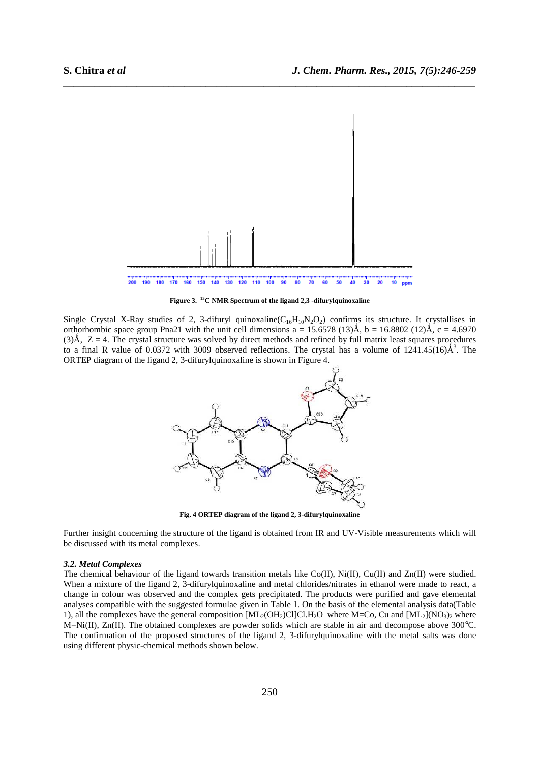

**Figure 3. <sup>13</sup>C NMR Spectrum of the ligand 2,3 -difurylquinoxaline** 

Single Crystal X-Ray studies of 2, 3-difuryl quinoxaline( $C_{16}H_{10}N_2O_2$ ) confirms its structure. It crystallises in orthorhombic space group Pna21 with the unit cell dimensions  $a = 15.6578$  (13)Å,  $b = 16.8802$  (12)Å,  $c = 4.6970$  $(3)$ Å,  $Z = 4$ . The crystal structure was solved by direct methods and refined by full matrix least squares procedures to a final R value of 0.0372 with 3009 observed reflections. The crystal has a volume of  $1241.45(16)$  $\AA$ <sup>3</sup>. The ORTEP diagram of the ligand 2, 3-difurylquinoxaline is shown in Figure 4.



**Fig. 4 ORTEP diagram of the ligand 2, 3-difurylquinoxaline** 

Further insight concerning the structure of the ligand is obtained from IR and UV-Visible measurements which will be discussed with its metal complexes.

#### *3.2. Metal Complexes*

The chemical behaviour of the ligand towards transition metals like  $Co(II)$ , Ni(II),  $Cu(II)$  and  $Zn(II)$  were studied. When a mixture of the ligand 2, 3-difurylquinoxaline and metal chlorides/nitrates in ethanol were made to react, a change in colour was observed and the complex gets precipitated. The products were purified and gave elemental analyses compatible with the suggested formulae given in Table 1. On the basis of the elemental analysis data(Table 1), all the complexes have the general composition  $[ML_2(OH_2)Cl]Cl.H_2O$  where M=Co, Cu and  $[ML_2](NO_3)_2$  where M=Ni(II), Zn(II). The obtained complexes are powder solids which are stable in air and decompose above 300°C. The confirmation of the proposed structures of the ligand 2, 3-difurylquinoxaline with the metal salts was done using different physic-chemical methods shown below.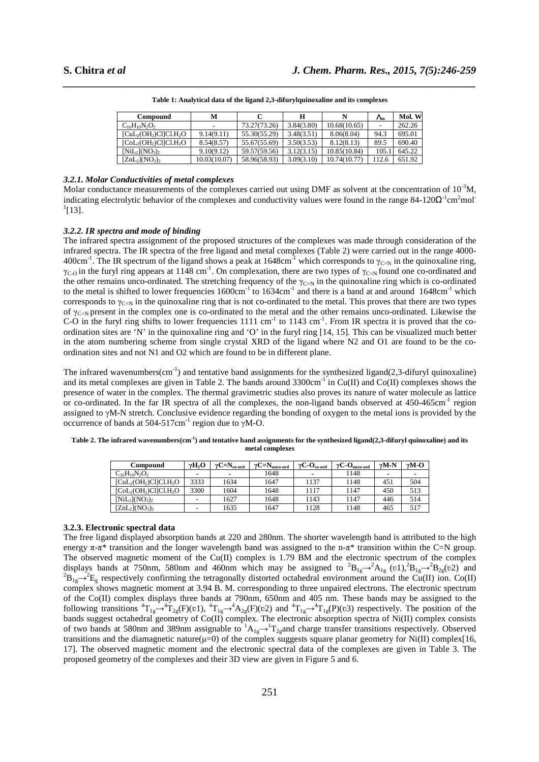| Compound               | м                        |              | н          |              | $\Lambda_{\rm m}$ | Mol. W |
|------------------------|--------------------------|--------------|------------|--------------|-------------------|--------|
| $C_{16}H_{10}N_2O_2$   | $\overline{\phantom{0}}$ | 73.27(73.26) | 3.84(3.80) | 10.68(10.65) |                   | 262.26 |
| $[CuL2(OH2)Cl]Cl2(H2O$ | 9.14(9.11)               | 55.30(55.29) | 3.48(3.51) | 8.06(8.04)   | 94.3              | 695.01 |
| $[CoL2(OH2)Cl]Cl.H2O$  | 8.54(8.57)               | 55.67(55.69) | 3.50(3.53) | 8.12(8.13)   | 89.5              | 690.40 |
| $[NiL_2](NO_3)$        | 9.10(9.12)               | 59.57(59.56) | 3.12(3.15) | 10.85(10.84) | 105.              | 645.22 |
| $[ZnL_2](NO_3)_2$      | 10.03(10.07)             | 58.96(58.93) | 3.09(3.10) | 10.74(10.77) | 112.6             | 651.92 |

*\_\_\_\_\_\_\_\_\_\_\_\_\_\_\_\_\_\_\_\_\_\_\_\_\_\_\_\_\_\_\_\_\_\_\_\_\_\_\_\_\_\_\_\_\_\_\_\_\_\_\_\_\_\_\_\_\_\_\_\_\_\_\_\_\_\_\_\_\_\_\_\_\_\_\_\_\_\_* **Table 1: Analytical data of the ligand 2,3-difurylquinoxaline and its complexes** 

#### *3.2.1. Molar Conductivities of metal complexes*

Molar conductance measurements of the complexes carried out using DMF as solvent at the concentration of  $10^{-3}$ M, indicating electrolytic behavior of the complexes and conductivity values were found in the range  $84-120\Omega^{-1}$ cm<sup>2</sup>mol<sup>-</sup>  $^{1}[13]$ .

### *3.2.2. IR spectra and mode of binding*

The infrared spectra assignment of the proposed structures of the complexes was made through consideration of the infrared spectra. The IR spectra of the free ligand and metal complexes (Table 2) were carried out in the range 4000- 400cm<sup>-1</sup>. The IR spectrum of the ligand shows a peak at 1648cm<sup>-1</sup> which corresponds to  $\gamma_{C=N}$  in the quinoxaline ring,  $\gamma_{C-0}$  in the furyl ring appears at 1148 cm<sup>-1</sup>. On complexation, there are two types of  $\gamma_{C=N}$  found one co-ordinated and the other remains unco-ordinated. The stretching frequency of the  $\gamma_{C=N}$  in the quinoxaline ring which is co-ordinated to the metal is shifted to lower frequencies  $1600 \text{cm}^{-1}$  to  $1634 \text{cm}^{-1}$  and there is a band at and around  $1648 \text{cm}^{-1}$  which corresponds to  $\gamma_{C=N}$  in the quinoxaline ring that is not co-ordinated to the metal. This proves that there are two types of  $\gamma_{\text{C-N}}$  present in the complex one is co-ordinated to the metal and the other remains unco-ordinated. Likewise the C-O in the furyl ring shifts to lower frequencies  $1111 \text{ cm}^{-1}$  to  $1143 \text{ cm}^{-1}$ . From IR spectra it is proved that the coordination sites are 'N' in the quinoxaline ring and 'O' in the furyl ring [14, 15]. This can be visualized much better in the atom numbering scheme from single crystal XRD of the ligand where N2 and O1 are found to be the coordination sites and not N1 and O2 which are found to be in different plane.

The infrared wavenumbers(cm<sup>-1</sup>) and tentative band assignments for the synthesized ligand(2,3-difuryl quinoxaline) and its metal complexes are given in Table 2. The bands around  $3300 \text{cm}^{-1}$  in Cu(II) and Co(II) complexes shows the presence of water in the complex. The thermal gravimetric studies also proves its nature of water molecule as lattice or co-ordinated. In the far IR spectra of all the complexes, the non-ligand bands observed at  $450-465 \text{cm}^{-1}$  region assigned to γM-N stretch. Conclusive evidence regarding the bonding of oxygen to the metal ions is provided by the occurrence of bands at  $504-517$ cm<sup>-1</sup> region due to γM-O.

| Compound             | $\gamma H_2$ O | $vC=N_{\rm co\text{-}ord}$ | $\gamma C = N_{\text{unco-ord}}$ | $V \propto \frac{1}{\Omega_{\text{co-ord}}}$ | $\gamma C$ -O <sub>unco-ord</sub> | $vM-N$          | $vM-O$         |
|----------------------|----------------|----------------------------|----------------------------------|----------------------------------------------|-----------------------------------|-----------------|----------------|
| $C_{16}H_{10}N_2O_2$ | -              | -                          | 1648                             | $\blacksquare$                               | l 148                             | -               | $\blacksquare$ |
| CuL2(OH2)Cl]Cl.H2O   | 3333           | 1634                       | 1647                             | 1137                                         | 1148                              | 45 <sub>1</sub> | 504            |
| CoL2(OH2)Cl]Cl.H2O   | 3300           | 1604                       | 1648                             | 117                                          | l 147                             | 450             | 513            |
| $[NiL_2](NO_3)_2$    | -              | 1627                       | 1648                             | 1143                                         | .147                              | 446             | 514            |

 $[\text{ZnL}_2](\text{NO}_3)_2$  - 1635 1647 1128 1148 465 517

**Table 2. The infrared wavenumbers(cm-1) and tentative band assignments for the synthesized ligand(2,3-difuryl quinoxaline) and its metal complexes** 

# **3.2.3. Electronic spectral data**

The free ligand displayed absorption bands at 220 and 280nm. The shorter wavelength band is attributed to the high energy  $\pi$ - $\pi$ <sup>\*</sup> transition and the longer wavelength band was assigned to the n- $\pi$ <sup>\*</sup> transition within the C=N group. The observed magnetic moment of the Cu(II) complex is 1.79 BM and the electronic spectrum of the complex displays bands at 750nm, 580nm and 460nm which may be assigned to  ${}^{2}B_{1g} \rightarrow {}^{2}A_{1g}$  (v1), ${}^{2}B_{1g} \rightarrow {}^{2}B_{2g}(v2)$  and  ${}^{2}B_{1g} \rightarrow {}^{2}E_{g}$  respectively confirming the tetragonally distorted octahedral environment around the Cu(II) ion. Co(II) complex shows magnetic moment at 3.94 B. M. corresponding to three unpaired electrons. The electronic spectrum of the Co(II) complex displays three bands at 790nm, 650nm and 405 nm. These bands may be assigned to the following transitions  ${}^4T_{1g} \rightarrow {}^4T_{2g}(F)(v1)$ ,  ${}^4T_{1g} \rightarrow {}^4A_{2g}(F)(v2)$  and  ${}^4T_{1g} \rightarrow {}^4T_{1g}(P)(v3)$  respectively. The position of the bands suggest octahedral geometry of Co(II) complex. The electronic absorption spectra of Ni(II) complex consists of two bands at 580nm and 389nm assignable to  ${}^{1}A_{1g} \rightarrow {}^{1}T_{2g}$ and charge transfer transitions respectively. Observed transitions and the diamagnetic nature( $\mu=0$ ) of the complex suggests square planar geometry for Ni(II) complex[16, 17]. The observed magnetic moment and the electronic spectral data of the complexes are given in Table 3. The proposed geometry of the complexes and their 3D view are given in Figure 5 and 6.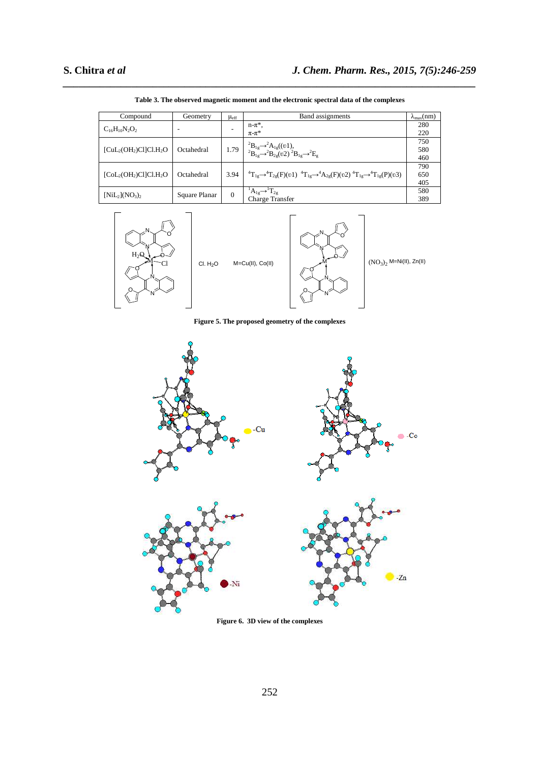| Compound               | Geometry      | $\mu_{\rm eff}$ | Band assignments                                                                                                                             | $\lambda_{\text{max}}(nm)$ |
|------------------------|---------------|-----------------|----------------------------------------------------------------------------------------------------------------------------------------------|----------------------------|
| $C_{16}H_{10}N_2O_2$   | ۰             |                 | $n-\pi^*$ ,                                                                                                                                  | 280                        |
|                        |               |                 | $\pi$ - $\pi$ *                                                                                                                              | 220                        |
|                        |               |                 |                                                                                                                                              | 750                        |
| $[CuL2(OH2)Cl]Cl2(H2O$ | Octahedral    |                 | 1.79 ${}^{2}B_{1g} \rightarrow {}^{2}A_{1g}((v1),$<br>${}^{2}B_{1g} \rightarrow {}^{2}B_{2g}(v2) {}^{2}B_{1g} \rightarrow {}^{2}E_{g}$       | 580                        |
|                        |               |                 |                                                                                                                                              | 460                        |
|                        |               |                 |                                                                                                                                              | 790                        |
| $[Col2(OH2)Cl]Cl.H2O$  | Octahedral    | 3.94            | ${}^{4}T_{1g} \rightarrow {}^{4}T_{2g}(F)(v1) \ {}^{4}T_{1g} \rightarrow {}^{4}A_{2g}(F)(v2) \ {}^{4}T_{1g} \rightarrow {}^{4}T_{1g}(P)(v3)$ | 650                        |
|                        |               |                 |                                                                                                                                              | 405                        |
| $[NiL_2](NO_3)_2$      |               | $\Omega$        | ${}^{1}A_{1g} \rightarrow {}^{1}T_{2g}$                                                                                                      | 580                        |
|                        | Square Planar |                 | <b>Charge Transfer</b>                                                                                                                       | 389                        |

*\_\_\_\_\_\_\_\_\_\_\_\_\_\_\_\_\_\_\_\_\_\_\_\_\_\_\_\_\_\_\_\_\_\_\_\_\_\_\_\_\_\_\_\_\_\_\_\_\_\_\_\_\_\_\_\_\_\_\_\_\_\_\_\_\_\_\_\_\_\_\_\_\_\_\_\_\_\_* **Table 3. The observed magnetic moment and the electronic spectral data of the complexes** 



**Figure 5. The proposed geometry of the complexes** 



**Figure 6. 3D view of the complexes**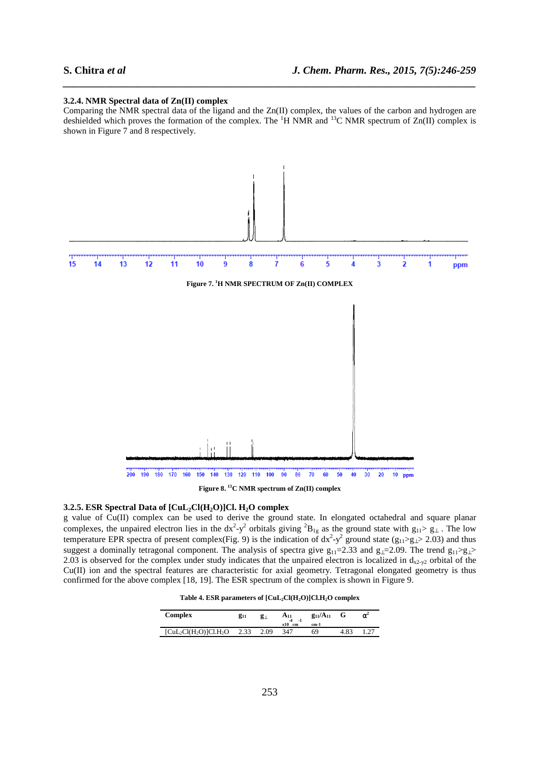#### **3.2.4. NMR Spectral data of Zn(II) complex**

Comparing the NMR spectral data of the ligand and the Zn(II) complex, the values of the carbon and hydrogen are deshielded which proves the formation of the complex. The  ${}^{1}H$  NMR and  ${}^{13}C$  NMR spectrum of Zn(II) complex is shown in Figure 7 and 8 respectively.

*\_\_\_\_\_\_\_\_\_\_\_\_\_\_\_\_\_\_\_\_\_\_\_\_\_\_\_\_\_\_\_\_\_\_\_\_\_\_\_\_\_\_\_\_\_\_\_\_\_\_\_\_\_\_\_\_\_\_\_\_\_\_\_\_\_\_\_\_\_\_\_\_\_\_\_\_\_\_*



**Figure 8. <sup>13</sup>C NMR spectrum of Zn(II) complex** 

#### **3.2.5. ESR Spectral Data of [CuL2Cl(H2O)]Cl. H2O complex**

g value of Cu(II) complex can be used to derive the ground state. In elongated octahedral and square planar complexes, the unpaired electron lies in the  $dx^2-y^2$  orbitals giving  ${}^2B_{1g}$  as the ground state with  $g_{11} > g_{\perp}$ . The low temperature EPR spectra of present complex(Fig. 9) is the indication of  $dx^2-y^2$  ground state (g<sub>11</sub>>g<sub>⊥</sub>> 2.03) and thus suggest a dominally tetragonal component. The analysis of spectra give  $g_{11}=2.33$  and  $g_{1}=2.09$ . The trend  $g_{11} > g_{1} > g_{1}$ 2.03 is observed for the complex under study indicates that the unpaired electron is localized in  $d_{x2-y2}$  orbital of the Cu(II) ion and the spectral features are characteristic for axial geometry. Tetragonal elongated geometry is thus confirmed for the above complex [18, 19]. The ESR spectrum of the complex is shown in Figure 9.

|  |  |  |  | Table 4. ESR parameters of $\text{[CuL}_2\text{Cl}(H_2O)\text{]Cl}.H_2O$ complex |  |  |  |  |  |  |  |
|--|--|--|--|----------------------------------------------------------------------------------|--|--|--|--|--|--|--|
|--|--|--|--|----------------------------------------------------------------------------------|--|--|--|--|--|--|--|

| Complex               | $g_{11}$ | g⊥   | $A_{11}$<br>$\mathbf{A}$<br>$-1$ | $g_{11}/A_{11}$ |      | $\alpha$ |
|-----------------------|----------|------|----------------------------------|-----------------|------|----------|
|                       |          |      | x10<br>cm                        | cm-1            |      |          |
| $[CuL2Cl(H2O)]Cl.H2O$ | 2.33     | 2.09 | 347                              | 69              | 4.83 |          |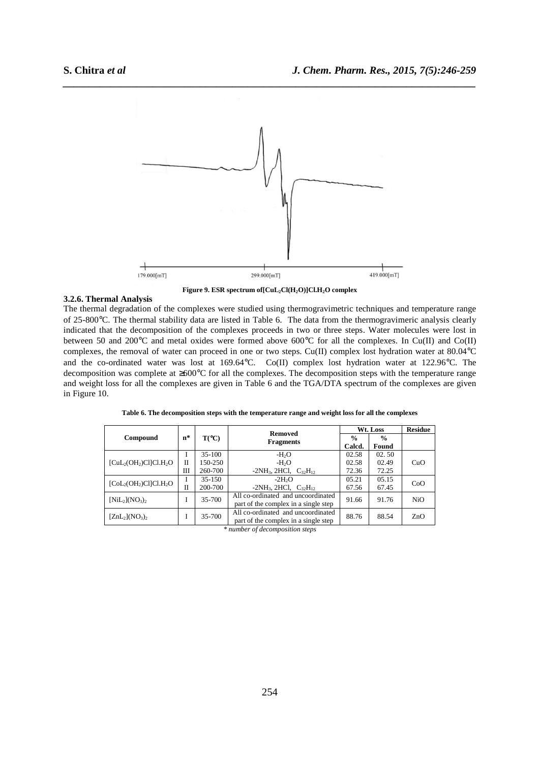

**Figure 9. ESR spectrum of[CuL2Cl(H2O)]Cl.H2O complex** 

### **3.2.6. Thermal Analysis**

The thermal degradation of the complexes were studied using thermogravimetric techniques and temperature range of 25-800°C. The thermal stability data are listed in Table 6. The data from the thermogravimeric analysis clearly indicated that the decomposition of the complexes proceeds in two or three steps. Water molecules were lost in between 50 and 200°C and metal oxides were formed above 600°C for all the complexes. In Cu(II) and Co(II) complexes, the removal of water can proceed in one or two steps. Cu(II) complex lost hydration water at 80.04°C and the co-ordinated water was lost at 169.64°C. Co(II) complex lost hydration water at 122.96°C. The decomposition was complete at ≥600°C for all the complexes. The decomposition steps with the temperature range and weight loss for all the complexes are given in Table 6 and the TGA/DTA spectrum of the complexes are given in Figure 10.

|                       |        |                | <b>Removed</b>                       | Wt. Loss       | <b>Residue</b> |            |
|-----------------------|--------|----------------|--------------------------------------|----------------|----------------|------------|
| Compound              | n*     | $T(^{\circ}C)$ | <b>Fragments</b>                     | $\frac{0}{0}$  | $\frac{0}{0}$  |            |
|                       |        |                |                                      | Calcd.         | Found          |            |
|                       |        | $35-100$       | $-H2O$                               | 02.58          | 02.50          |            |
| $[CuL2(OH2)Cl]Cl.H2O$ | П      | 150-250        | $-H2O$                               | 02.58          | 02.49          | CuO        |
|                       | Ш      | 260-700        | $-2NH_3$ , 2HCl, $C_{32}H_{12}$      | 72.36          | 72.25          |            |
| $[CoL2(OH2)Cl]Cl.H2O$ |        | $35 - 150$     | $-2H2O$                              | 05.21<br>05.15 |                | CoO        |
|                       | П      | 200-700        | $-2NH_3$ , 2HCl, $C_{32}H_{12}$      | 67.56          | 67.45          |            |
| $[NiL_2](NO_3)_2$     |        | 35-700         | All co-ordinated and uncoordinated   | 91.66          | 91.76          | <b>NiO</b> |
|                       |        |                | part of the complex in a single step |                |                |            |
| $[ZnL_2](NO_3)_2$     | 35-700 |                | All co-ordinated and uncoordinated   | 88.76          | 88.54          | ZnO        |
|                       |        |                | part of the complex in a single step |                |                |            |

**Table 6. The decomposition steps with the temperature range and weight loss for all the complexes** 

*\* number of decomposition steps*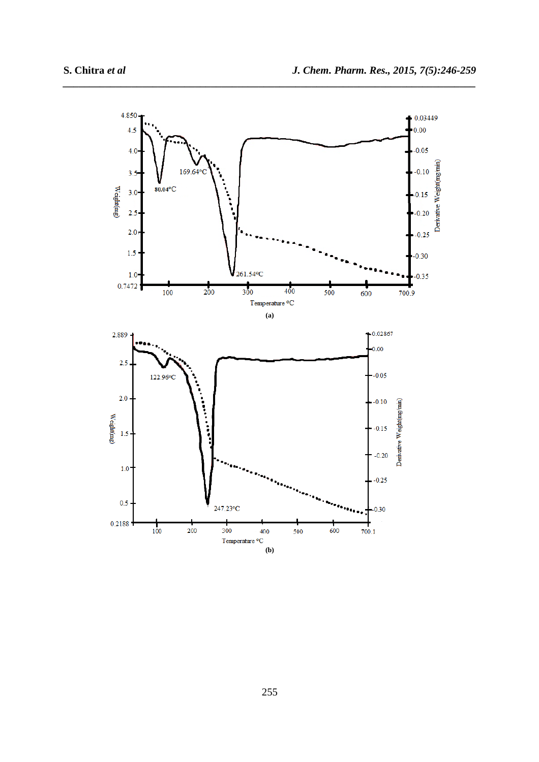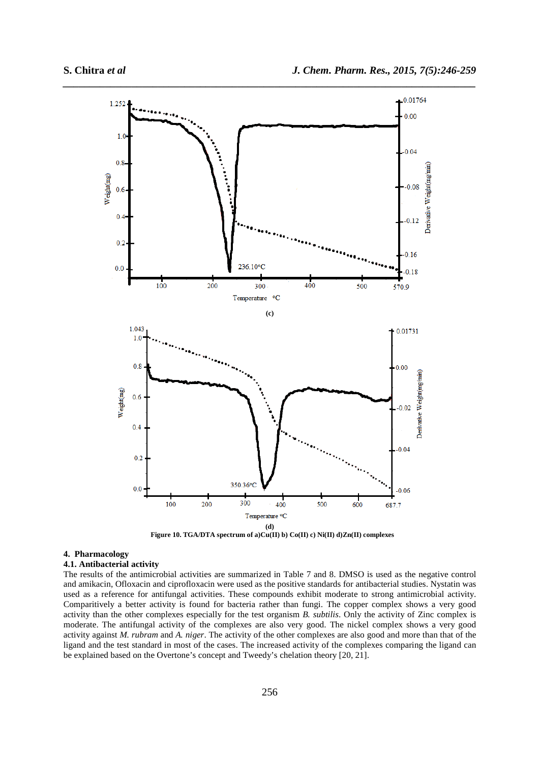

 **Figure 10. TGA/DTA spectrum of a)Cu(II) b) Co(II) c) Ni(II) d)Zn(II) complexes** 

## **4. Pharmacology**

# **4.1. Antibacterial activity**

The results of the antimicrobial activities are summarized in Table 7 and 8. DMSO is used as the negative control and amikacin, Ofloxacin and ciprofloxacin were used as the positive standards for antibacterial studies. Nystatin was used as a reference for antifungal activities. These compounds exhibit moderate to strong antimicrobial activity. Comparitively a better activity is found for bacteria rather than fungi. The copper complex shows a very good activity than the other complexes especially for the test organism *B. subtilis*. Only the activity of Zinc complex is moderate. The antifungal activity of the complexes are also very good. The nickel complex shows a very good activity against *M. rubram* and *A. niger*. The activity of the other complexes are also good and more than that of the ligand and the test standard in most of the cases. The increased activity of the complexes comparing the ligand can be explained based on the Overtone's concept and Tweedy's chelation theory [20, 21].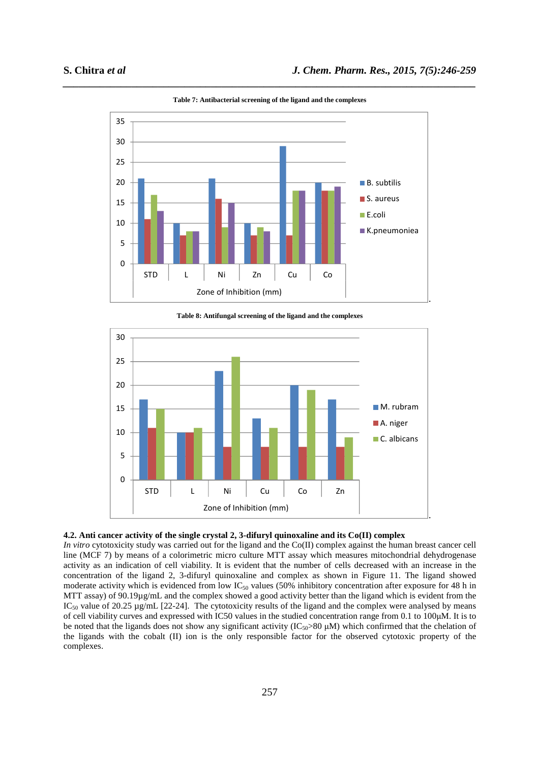

*\_\_\_\_\_\_\_\_\_\_\_\_\_\_\_\_\_\_\_\_\_\_\_\_\_\_\_\_\_\_\_\_\_\_\_\_\_\_\_\_\_\_\_\_\_\_\_\_\_\_\_\_\_\_\_\_\_\_\_\_\_\_\_\_\_\_\_\_\_\_\_\_\_\_\_\_\_\_* **Table 7: Antibacterial screening of the ligand and the complexes** 

**Table 8: Antifungal screening of the ligand and the complexes** 





*In vitro* cytotoxicity study was carried out for the ligand and the Co(II) complex against the human breast cancer cell line (MCF 7) by means of a colorimetric micro culture MTT assay which measures mitochondrial dehydrogenase activity as an indication of cell viability. It is evident that the number of cells decreased with an increase in the concentration of the ligand 2, 3-difuryl quinoxaline and complex as shown in Figure 11. The ligand showed moderate activity which is evidenced from low  $IC_{50}$  values (50% inhibitory concentration after exposure for 48 h in MTT assay) of 90.19µg/mL and the complex showed a good activity better than the ligand which is evident from the  $IC_{50}$  value of 20.25 µg/mL [22-24]. The cytotoxicity results of the ligand and the complex were analysed by means of cell viability curves and expressed with IC50 values in the studied concentration range from 0.1 to 100µM. It is to be noted that the ligands does not show any significant activity  $(IC_{50}>80 \mu M)$  which confirmed that the chelation of the ligands with the cobalt (II) ion is the only responsible factor for the observed cytotoxic property of the complexes.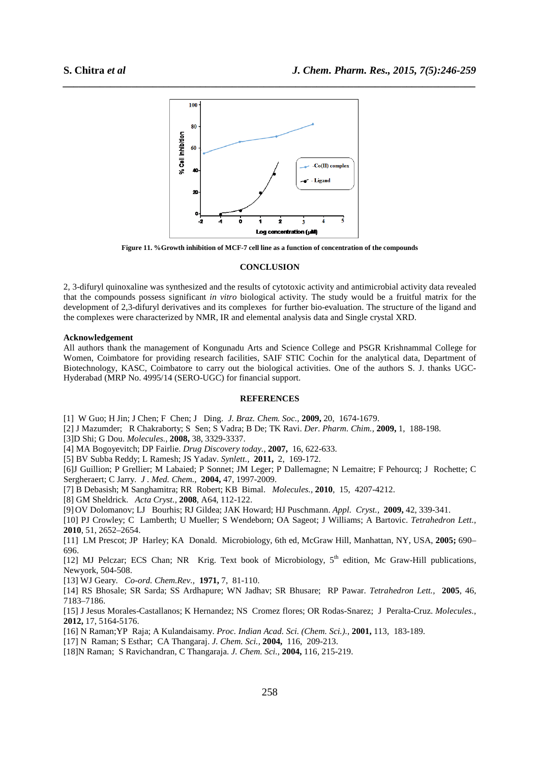

**Figure 11. %Growth inhibition of MCF-7 cell line as a function of concentration of the compounds** 

#### **CONCLUSION**

2, 3-difuryl quinoxaline was synthesized and the results of cytotoxic activity and antimicrobial activity data revealed that the compounds possess significant *in vitro* biological activity. The study would be a fruitful matrix for the development of 2,3-difuryl derivatives and its complexes for further bio-evaluation. The structure of the ligand and the complexes were characterized by NMR, IR and elemental analysis data and Single crystal XRD.

#### **Acknowledgement**

All authors thank the management of Kongunadu Arts and Science College and PSGR Krishnammal College for Women, Coimbatore for providing research facilities, SAIF STIC Cochin for the analytical data, Department of Biotechnology, KASC, Coimbatore to carry out the biological activities. One of the authors S. J. thanks UGC-Hyderabad (MRP No. 4995/14 (SERO-UGC) for financial support.

#### **REFERENCES**

[1] W Guo; H Jin; J Chen; F Chen; J Ding. *J. Braz. Chem. Soc.,* **2009,** 20, 1674-1679.

- [2] J Mazumder; R Chakraborty; S Sen; S Vadra; B De; TK Ravi. *Der. Pharm. Chim.,* **2009,** 1, 188-198.
- [3]D Shi; G Dou. *Molecules.,* **2008,** 38, 3329-3337.
- [4] MA Bogoyevitch; DP Fairlie. *Drug Discovery today.,* **2007,** 16, 622-633.
- [5] BV Subba Reddy; L Ramesh; JS Yadav. *Synlett.,* **2011,** 2, 169-172.
- [6]J Guillion; P Grellier; M Labaied; P Sonnet; JM Leger; P Dallemagne; N Lemaitre; F Pehourcq; J Rochette; C Sergheraert; C Jarry. *J . Med. Chem.,* **2004,** 47, 1997-2009.
- [7] B Debasish; M Sanghamitra; RR Robert; KB Bimal. *Molecules.,* **2010**, 15, 4207-4212.
- [8] GM Sheldrick. *Acta Cryst.,* **2008**, A64, 112-122.
- [9] OV Dolomanov; LJ Bourhis; RJ Gildea; JAK Howard; HJ Puschmann. *Appl. Cryst.,* **2009,** 42, 339-341.
- [10] PJ Crowley; C Lamberth; U Mueller; S Wendeborn; OA Sageot; J Williams; A Bartovic. *Tetrahedron Lett.,* **2010**, 51, 2652–2654.
- [11] LM Prescot; JP Harley; KA Donald. Microbiology, 6th ed, McGraw Hill, Manhattan, NY, USA, **2005;** 690– 696.
- [12] MJ Pelczar; ECS Chan; NR Krig. Text book of Microbiology,  $5<sup>th</sup>$  edition, Mc Graw-Hill publications, Newyork, 504-508.
- [13] WJ Geary. *Co-ord. Chem.Rev.,* **1971,** 7, 81-110.
- [14] RS Bhosale; SR Sarda; SS Ardhapure; WN Jadhav; SR Bhusare; RP Pawar. *Tetrahedron Lett.,* **2005**, 46, 7183–7186.
- [15] J Jesus Morales-Castallanos; K Hernandez; NS Cromez flores; OR Rodas-Snarez; J Peralta-Cruz. *Molecules.,* **2012,** 17, 5164-5176.
- [16] N Raman;YP Raja; A Kulandaisamy. *Proc. Indian Acad. Sci. (Chem. Sci.).,* **2001,** 113, 183-189.
- [17] N Raman; S Esthar; CA Thangaraj. *J. Chem. Sci.,* **2004,** 116, 209-213.
- [18]N Raman; S Ravichandran, C Thangaraja. *J. Chem. Sci.,* **2004,** 116, 215-219.